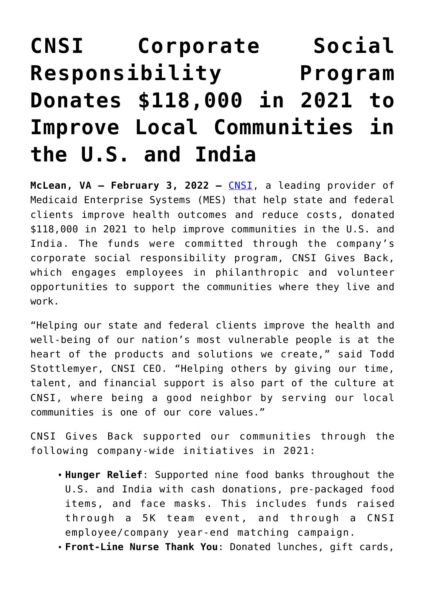## **[CNSI Corporate Social](https://www.cns-inc.com/insights/press-releases/cnsi-corporate-social-responsibility-program-donates-118000-in-2021-to-improve-local-communities-in-the-u-s-and-india/) [Responsibility Program](https://www.cns-inc.com/insights/press-releases/cnsi-corporate-social-responsibility-program-donates-118000-in-2021-to-improve-local-communities-in-the-u-s-and-india/) [Donates \\$118,000 in 2021 to](https://www.cns-inc.com/insights/press-releases/cnsi-corporate-social-responsibility-program-donates-118000-in-2021-to-improve-local-communities-in-the-u-s-and-india/) [Improve Local Communities in](https://www.cns-inc.com/insights/press-releases/cnsi-corporate-social-responsibility-program-donates-118000-in-2021-to-improve-local-communities-in-the-u-s-and-india/) [the U.S. and India](https://www.cns-inc.com/insights/press-releases/cnsi-corporate-social-responsibility-program-donates-118000-in-2021-to-improve-local-communities-in-the-u-s-and-india/)**

**McLean, VA – February 3, 2022 –** [CNSI](https://www.cns-inc.com/), a leading provider of Medicaid Enterprise Systems (MES) that help state and federal clients improve health outcomes and reduce costs, donated \$118,000 in 2021 to help improve communities in the U.S. and India. The funds were committed through the company's corporate social responsibility program, CNSI Gives Back, which engages employees in philanthropic and volunteer opportunities to support the communities where they live and work.

"Helping our state and federal clients improve the health and well-being of our nation's most vulnerable people is at the heart of the products and solutions we create," said Todd Stottlemyer, CNSI CEO. "Helping others by giving our time, talent, and financial support is also part of the culture at CNSI, where being a good neighbor by serving our local communities is one of our core values."

CNSI Gives Back supported our communities through the following company-wide initiatives in 2021:

- **Hunger Relief**: Supported nine food banks throughout the U.S. and India with cash donations, pre-packaged food items, and face masks. This includes funds raised through a 5K team event, and through a CNSI employee/company year-end matching campaign.
- **Front-Line Nurse Thank You**: Donated lunches, gift cards,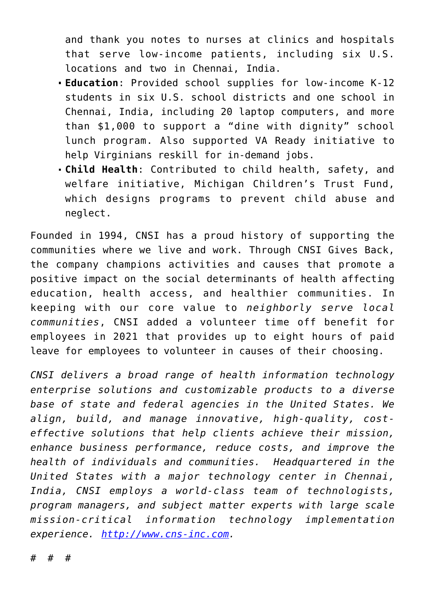and thank you notes to nurses at clinics and hospitals that serve low-income patients, including six U.S. locations and two in Chennai, India.

- **Education**: Provided school supplies for low-income K-12 students in six U.S. school districts and one school in Chennai, India, including 20 laptop computers, and more than \$1,000 to support a "dine with dignity" school lunch program. Also supported VA Ready initiative to help Virginians reskill for in-demand jobs.
- **Child Health**: Contributed to child health, safety, and welfare initiative, Michigan Children's Trust Fund, which designs programs to prevent child abuse and neglect.

Founded in 1994, CNSI has a proud history of supporting the communities where we live and work. Through CNSI Gives Back, the company champions activities and causes that promote a positive impact on the social determinants of health affecting education, health access, and healthier communities. In keeping with our core value to *neighborly serve local communities*, CNSI added a volunteer time off benefit for employees in 2021 that provides up to eight hours of paid leave for employees to volunteer in causes of their choosing.

*CNSI delivers a broad range of health information technology enterprise solutions and customizable products to a diverse base of state and federal agencies in the United States. We align, build, and manage innovative, high-quality, costeffective solutions that help clients achieve their mission, enhance business performance, reduce costs, and improve the health of individuals and communities. Headquartered in the United States with a major technology center in Chennai, India, CNSI employs a world-class team of technologists, program managers, and subject matter experts with large scale mission-critical information technology implementation experience. [http://www.cns-inc.com.](http://www.cns-inc.com)*

# # #